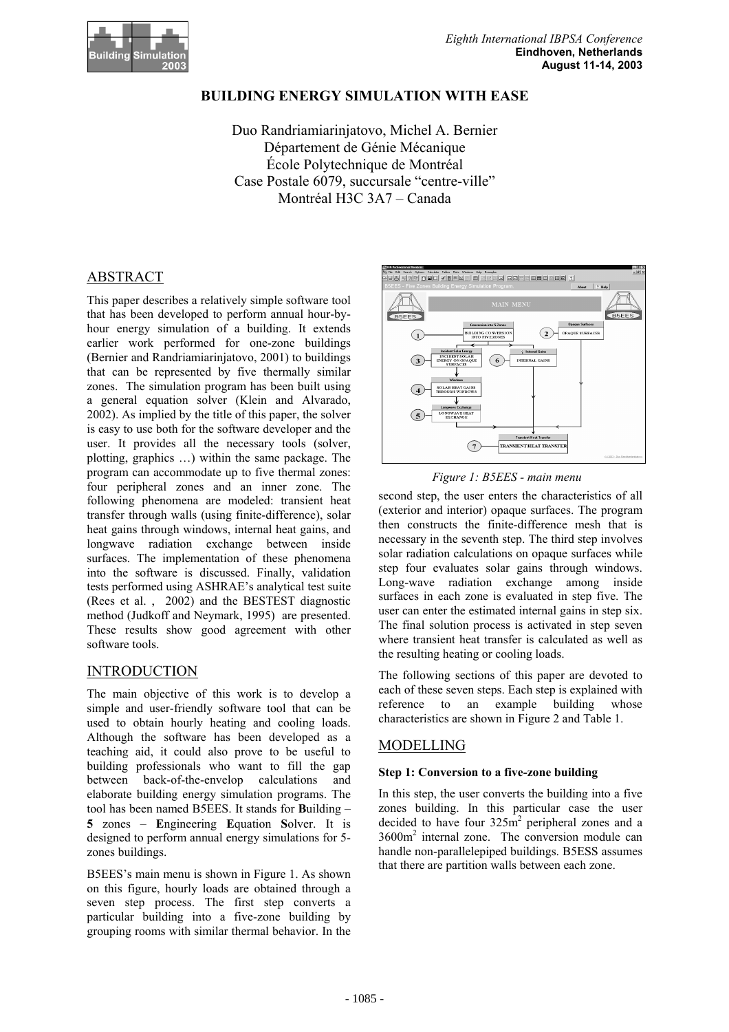

# **BUILDING ENERGY SIMULATION WITH EASE**

Duo Randriamiarinjatovo, Michel A. Bernier Département de Génie Mécanique École Polytechnique de Montréal Case Postale 6079, succursale "centre-ville" Montréal H3C 3A7 – Canada

# ABSTRACT

This paper describes a relatively simple software tool that has been developed to perform annual hour-byhour energy simulation of a building. It extends earlier work performed for one-zone buildings (Bernier and Randriamiarinjatovo, 2001) to buildings that can be represented by five thermally similar zones. The simulation program has been built using a general equation solver (Klein and Alvarado, 2002). As implied by the title of this paper, the solver is easy to use both for the software developer and the user. It provides all the necessary tools (solver, plotting, graphics …) within the same package. The program can accommodate up to five thermal zones: four peripheral zones and an inner zone. The following phenomena are modeled: transient heat transfer through walls (using finite-difference), solar heat gains through windows, internal heat gains, and longwave radiation exchange between inside surfaces. The implementation of these phenomena into the software is discussed. Finally, validation tests performed using ASHRAE's analytical test suite (Rees et al. , 2002) and the BESTEST diagnostic method (Judkoff and Neymark, 1995) are presented. These results show good agreement with other software tools.

# INTRODUCTION

The main objective of this work is to develop a simple and user-friendly software tool that can be used to obtain hourly heating and cooling loads. Although the software has been developed as a teaching aid, it could also prove to be useful to building professionals who want to fill the gap between back-of-the-envelop calculations and elaborate building energy simulation programs. The tool has been named B5EES. It stands for **B**uilding – **5** zones – **E**ngineering **E**quation **S**olver. It is designed to perform annual energy simulations for 5 zones buildings.

B5EES's main menu is shown in Figure 1. As shown on this figure, hourly loads are obtained through a seven step process. The first step converts a particular building into a five-zone building by grouping rooms with similar thermal behavior. In the



*Figure 1: B5EES - main menu*

second step, the user enters the characteristics of all (exterior and interior) opaque surfaces. The program then constructs the finite-difference mesh that is necessary in the seventh step. The third step involves solar radiation calculations on opaque surfaces while step four evaluates solar gains through windows. Long-wave radiation exchange among inside surfaces in each zone is evaluated in step five. The user can enter the estimated internal gains in step six. The final solution process is activated in step seven where transient heat transfer is calculated as well as the resulting heating or cooling loads.

The following sections of this paper are devoted to each of these seven steps. Each step is explained with reference to an example building whose characteristics are shown in Figure 2 and Table 1.

# MODELLING

## **Step 1: Conversion to a five-zone building**

In this step, the user converts the building into a five zones building. In this particular case the user decided to have four  $325m^2$  peripheral zones and a 3600m2 internal zone. The conversion module can handle non-parallelepiped buildings. B5ESS assumes that there are partition walls between each zone.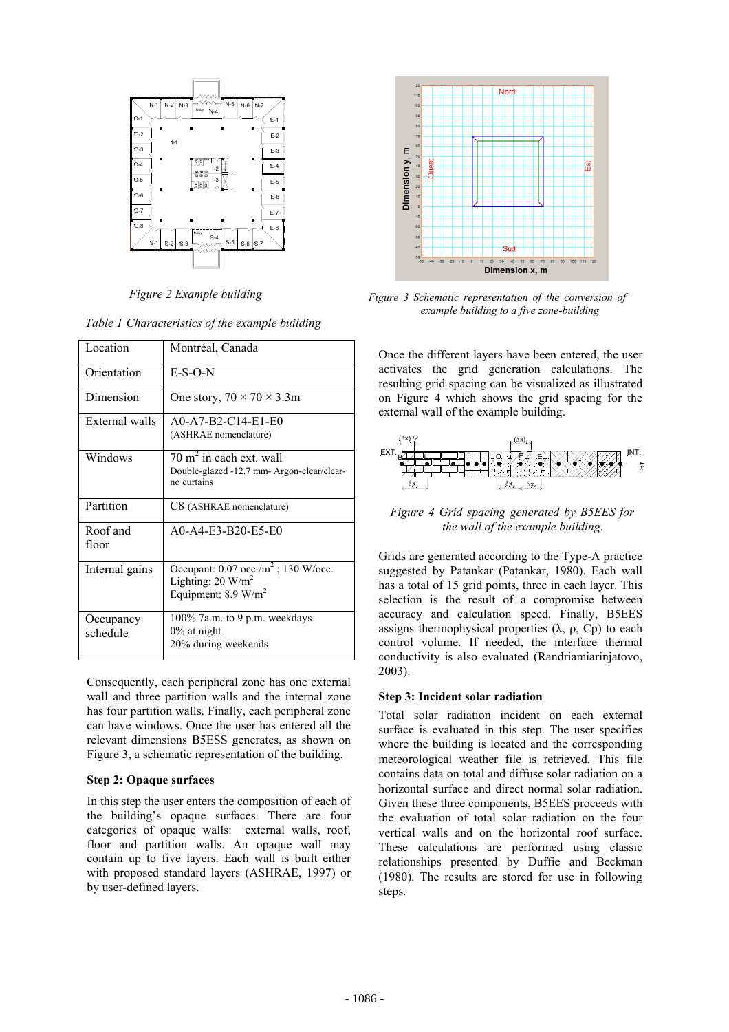

*Figure 2 Example building* 

*Table 1 Characteristics of the example building* 

| Location              | Montréal, Canada                                                                                                    |
|-----------------------|---------------------------------------------------------------------------------------------------------------------|
| Orientation           | $E-S-O-N$                                                                                                           |
| Dimension             | One story, $70 \times 70 \times 3.3$ m                                                                              |
| External walls        | A0-A7-B2-C14-E1-E0<br>(ASHRAE nomenclature)                                                                         |
| Windows               | $70 \text{ m}^2$ in each ext. wall<br>Double-glazed -12.7 mm- Argon-clear/clear-<br>no curtains                     |
| Partition             | C8 (ASHRAE nomenclature)                                                                                            |
| Roof and<br>floor     | $A0 - A4 - E3 - B20 - E5 - E0$                                                                                      |
| Internal gains        | Occupant: $0.07$ occ./m <sup>2</sup> ; 130 W/occ.<br>Lighting: $20 \text{ W/m}^2$<br>Equipment: $8.9 \text{ W/m}^2$ |
| Occupancy<br>schedule | 100% 7a.m. to 9 p.m. weekdays<br>$0\%$ at night<br>20% during weekends                                              |

Consequently, each peripheral zone has one external wall and three partition walls and the internal zone has four partition walls. Finally, each peripheral zone can have windows. Once the user has entered all the relevant dimensions B5ESS generates, as shown on Figure 3, a schematic representation of the building.

## **Step 2: Opaque surfaces**

In this step the user enters the composition of each of the building's opaque surfaces. There are four categories of opaque walls: external walls, roof, floor and partition walls. An opaque wall may contain up to five layers. Each wall is built either with proposed standard layers (ASHRAE, 1997) or by user-defined layers.



*Figure 3 Schematic representation of the conversion of example building to a five zone-building* 

Once the different layers have been entered, the user activates the grid generation calculations. The resulting grid spacing can be visualized as illustrated on Figure 4 which shows the grid spacing for the external wall of the example building.



*Figure 4 Grid spacing generated by B5EES for the wall of the example building.* 

Grids are generated according to the Type-A practice suggested by Patankar (Patankar, 1980). Each wall has a total of 15 grid points, three in each layer. This selection is the result of a compromise between accuracy and calculation speed. Finally, B5EES assigns thermophysical properties  $(\lambda, \rho, C_p)$  to each control volume. If needed, the interface thermal conductivity is also evaluated (Randriamiarinjatovo, 2003).

# **Step 3: Incident solar radiation**

Total solar radiation incident on each external surface is evaluated in this step. The user specifies where the building is located and the corresponding meteorological weather file is retrieved. This file contains data on total and diffuse solar radiation on a horizontal surface and direct normal solar radiation. Given these three components, B5EES proceeds with the evaluation of total solar radiation on the four vertical walls and on the horizontal roof surface. These calculations are performed using classic relationships presented by Duffie and Beckman (1980). The results are stored for use in following steps.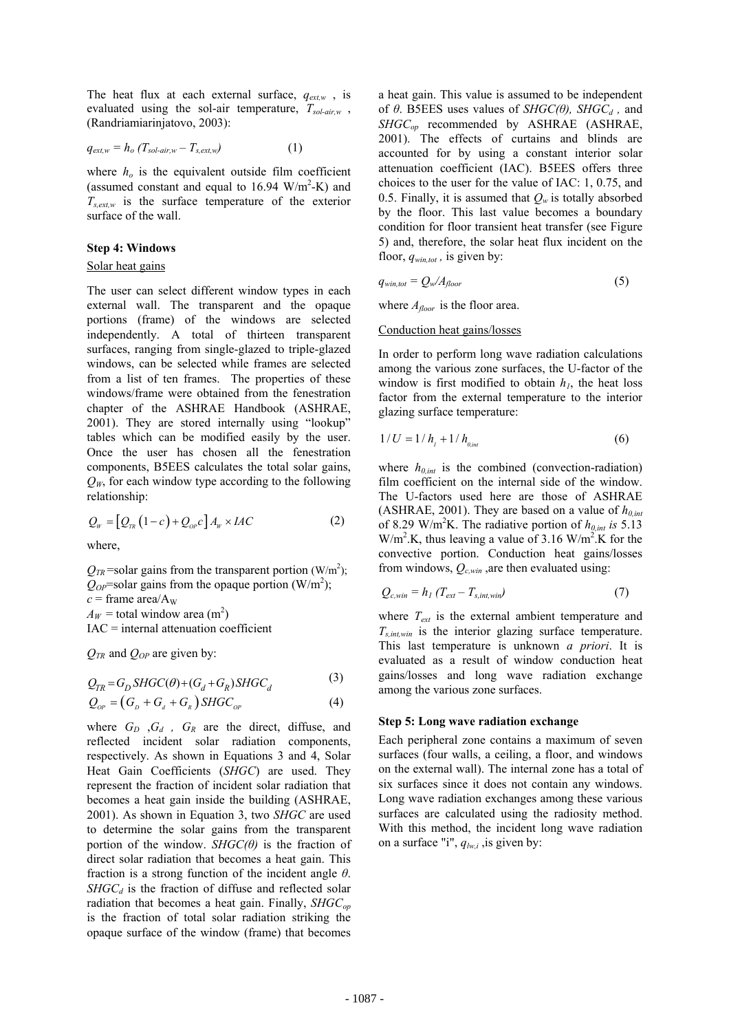The heat flux at each external surface,  $q_{ext,w}$ , is evaluated using the sol-air temperature, *Tsol-air,w* , (Randriamiarinjatovo, 2003):

$$
q_{ext,w} = h_o \left( T_{sol-air,w} - T_{s,ext,w} \right) \tag{1}
$$

where  $h<sub>o</sub>$  is the equivalent outside film coefficient (assumed constant and equal to  $16.94 \text{ W/m}^2\text{-K}$ ) and  $T_{s,ext,w}$  is the surface temperature of the exterior surface of the wall.

### **Step 4: Windows**

## Solar heat gains

The user can select different window types in each external wall. The transparent and the opaque portions (frame) of the windows are selected independently. A total of thirteen transparent surfaces, ranging from single-glazed to triple-glazed windows, can be selected while frames are selected from a list of ten frames. The properties of these windows/frame were obtained from the fenestration chapter of the ASHRAE Handbook (ASHRAE, 2001). They are stored internally using "lookup" tables which can be modified easily by the user. Once the user has chosen all the fenestration components, B5EES calculates the total solar gains,  $Q_W$ , for each window type according to the following relationship:

$$
Q_{w} = [Q_{\scriptscriptstyle TR}(1-c) + Q_{\scriptscriptstyle OP} c] A_{w} \times IAC \qquad (2)
$$

where,

 $Q_{TR}$ =solar gains from the transparent portion (W/m<sup>2</sup>);  $Q_{OP}$ =solar gains from the opaque portion (W/m<sup>2</sup>);  $c =$  frame area/ $A<sub>W</sub>$  $A_W$  = total window area (m<sup>2</sup>) IAC = internal attenuation coefficient

 $Q_{TR}$  and  $Q_{OP}$  are given by:

$$
Q = G \text{ SUCC}(\theta) \text{ (}G \text{ (}G \text{ ) } \text{ SUCC} \tag{3}
$$

$$
Q_{TR} = G_D S H O C(\theta) + (G_d + G_R) S H O C_d
$$
  
\n
$$
Q_{OP} = (G_p + G_d + G_R) S H G C_{OP}
$$
\n(4)

where  $G_D$  ,  $G_d$  ,  $G_R$  are the direct, diffuse, and reflected incident solar radiation components, respectively. As shown in Equations 3 and 4, Solar Heat Gain Coefficients (*SHGC*) are used. They represent the fraction of incident solar radiation that becomes a heat gain inside the building (ASHRAE, 2001). As shown in Equation 3, two *SHGC* are used to determine the solar gains from the transparent portion of the window. *SHGC(* $\theta$ *)* is the fraction of direct solar radiation that becomes a heat gain. This fraction is a strong function of the incident angle *θ*.  $SHGC<sub>d</sub>$  is the fraction of diffuse and reflected solar radiation that becomes a heat gain. Finally, *SHGC<sub>op</sub>* is the fraction of total solar radiation striking the opaque surface of the window (frame) that becomes

a heat gain. This value is assumed to be independent of *θ*. B5EES uses values of *SHGC(θ)*, *SHGC<sub>d</sub>*, and *SHGCop* recommended by ASHRAE (ASHRAE, 2001). The effects of curtains and blinds are accounted for by using a constant interior solar attenuation coefficient (IAC). B5EES offers three choices to the user for the value of IAC: 1, 0.75, and 0.5. Finally, it is assumed that  $Q_w$  is totally absorbed by the floor. This last value becomes a boundary condition for floor transient heat transfer (see Figure 5) and, therefore, the solar heat flux incident on the floor, *qwin,tot ,* is given by:

$$
q_{win,tot} = Q_w / A_{floor} \tag{5}
$$

where  $A_{floor}$  is the floor area.

### Conduction heat gains/losses

In order to perform long wave radiation calculations among the various zone surfaces, the U-factor of the window is first modified to obtain  $h_1$ , the heat loss factor from the external temperature to the interior glazing surface temperature:

$$
1/U = 1/h_{1} + 1/h_{0, int}
$$
 (6)

where  $h_{0,int}$  is the combined (convection-radiation) film coefficient on the internal side of the window. The U-factors used here are those of ASHRAE (ASHRAE, 2001). They are based on a value of  $h_{0,int}$ of 8.29 W/m<sup>2</sup>K. The radiative portion of  $h_{0,int}$  is 5.13  $W/m<sup>2</sup>$ .K, thus leaving a value of 3.16 W/m<sup>2</sup>.K for the convective portion. Conduction heat gains/losses from windows,  $Q_{c,win}$ , are then evaluated using:

$$
Q_{c,win} = h_1 \left( T_{ext} - T_{s,int,win} \right) \tag{7}
$$

where *Text* is the external ambient temperature and *Ts,int,win* is the interior glazing surface temperature. This last temperature is unknown *a priori*. It is evaluated as a result of window conduction heat gains/losses and long wave radiation exchange among the various zone surfaces.

## **Step 5: Long wave radiation exchange**

Each peripheral zone contains a maximum of seven surfaces (four walls, a ceiling, a floor, and windows on the external wall). The internal zone has a total of six surfaces since it does not contain any windows. Long wave radiation exchanges among these various surfaces are calculated using the radiosity method. With this method, the incident long wave radiation on a surface "i",  $q_{lw,i}$ , is given by: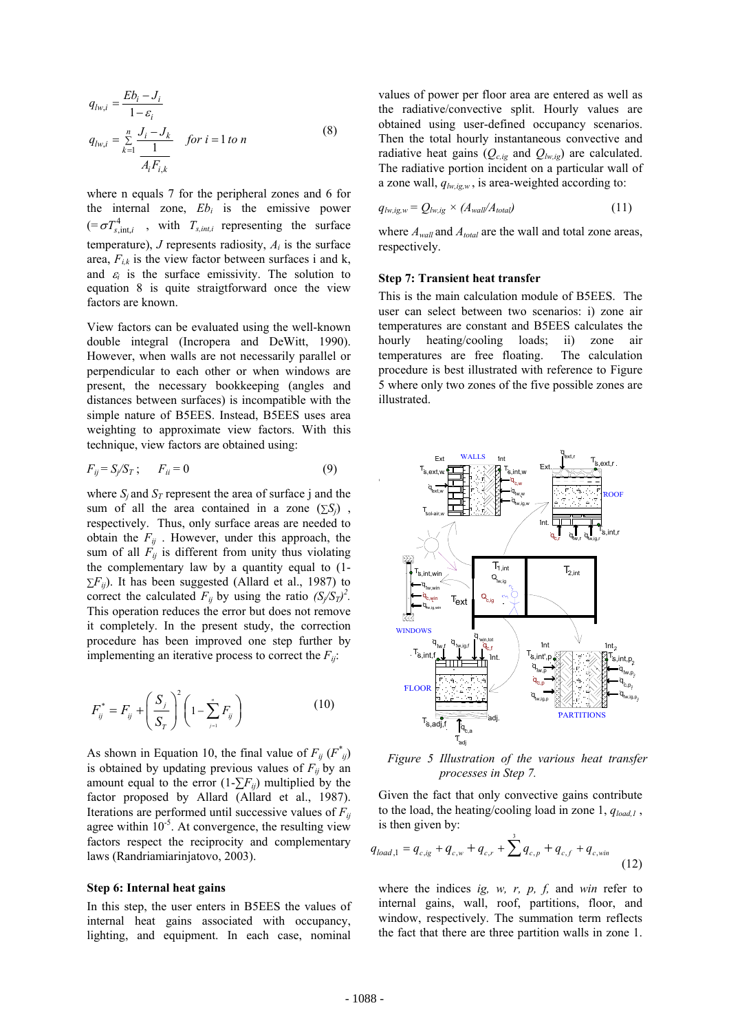$$
q_{lw,i} = \frac{Eb_i - J_i}{1 - \varepsilon_i}
$$
  
\n
$$
q_{lw,i} = \sum_{k=1}^{n} \frac{J_i - J_k}{\frac{1}{A_i F_{i,k}}}
$$
 for  $i = 1$  to n\n
$$
(8)
$$

where n equals 7 for the peripheral zones and 6 for the internal zone,  $Eb_i$  is the emissive power  $(=\sigma T_{sint,i}^4$ , with  $T_{sint,i}$  representing the surface temperature),  $J$  represents radiosity,  $A_i$  is the surface area,  $F_{i,k}$  is the view factor between surfaces i and k, and  $\varepsilon_i$  is the surface emissivity. The solution to equation 8 is quite straigtforward once the view factors are known.

View factors can be evaluated using the well-known double integral (Incropera and DeWitt, 1990). However, when walls are not necessarily parallel or perpendicular to each other or when windows are present, the necessary bookkeeping (angles and distances between surfaces) is incompatible with the simple nature of B5EES. Instead, B5EES uses area weighting to approximate view factors. With this technique, view factors are obtained using:

$$
F_{ij} = S_j/S_T; \qquad F_{ii} = 0 \tag{9}
$$

where  $S_i$  and  $S_T$  represent the area of surface j and the sum of all the area contained in a zone  $(\sum S_i)$ , respectively. Thus, only surface areas are needed to obtain the  $F_{ij}$ . However, under this approach, the sum of all  $F_{ij}$  is different from unity thus violating the complementary law by a quantity equal to (1-  $\Sigma F_{ij}$ ). It has been suggested (Allard et al., 1987) to correct the calculated  $F_{ij}$  by using the ratio  $(S_j/S_T)^2$ . This operation reduces the error but does not remove it completely. In the present study, the correction procedure has been improved one step further by implementing an iterative process to correct the  $F_{ij}$ :

$$
F_{ij}^* = F_{ij} + \left(\frac{S_j}{S_T}\right)^2 \left(1 - \sum_{j=1}^n F_{ij}\right)
$$
 (10)

As shown in Equation 10, the final value of  $F_{ij}$  ( $F^*_{ij}$ ) is obtained by updating previous values of  $F_{ij}$  by an amount equal to the error  $(1-\sum F_{ij})$  multiplied by the factor proposed by Allard (Allard et al., 1987). Iterations are performed until successive values of  $F_{ii}$ agree within  $10^{-5}$ . At convergence, the resulting view factors respect the reciprocity and complementary laws (Randriamiarinjatovo, 2003).

### **Step 6: Internal heat gains**

In this step, the user enters in B5EES the values of internal heat gains associated with occupancy, lighting, and equipment. In each case, nominal values of power per floor area are entered as well as the radiative/convective split. Hourly values are obtained using user-defined occupancy scenarios. Then the total hourly instantaneous convective and radiative heat gains  $(Q_{c,ig}$  and  $Q_{lw,ig}$ ) are calculated. The radiative portion incident on a particular wall of a zone wall,  $q_{lw,ig,w}$ , is area-weighted according to:

$$
q_{lw,ig,w} = Q_{lw,ig} \times (A_{wall}/A_{total})
$$
 (11)

where *Awall* and *Atotal* are the wall and total zone areas, respectively.

### **Step 7: Transient heat transfer**

This is the main calculation module of B5EES. The user can select between two scenarios: i) zone air temperatures are constant and B5EES calculates the hourly heating/cooling loads; ii) zone air temperatures are free floating. The calculation procedure is best illustrated with reference to Figure 5 where only two zones of the five possible zones are illustrated.



*Figure 5 Illustration of the various heat transfer processes in Step 7.*

Given the fact that only convective gains contribute to the load, the heating/cooling load in zone 1, *qload,1* , is then given by:

$$
q_{load,1} = q_{c,ig} + q_{c,w} + q_{c,r} + \sum_{r=1}^{3} q_{c,p} + q_{c,f} + q_{c,win}
$$
\n(12)

where the indices *ig, w, r, p, f,* and *win* refer to internal gains, wall, roof, partitions, floor, and window, respectively. The summation term reflects the fact that there are three partition walls in zone 1.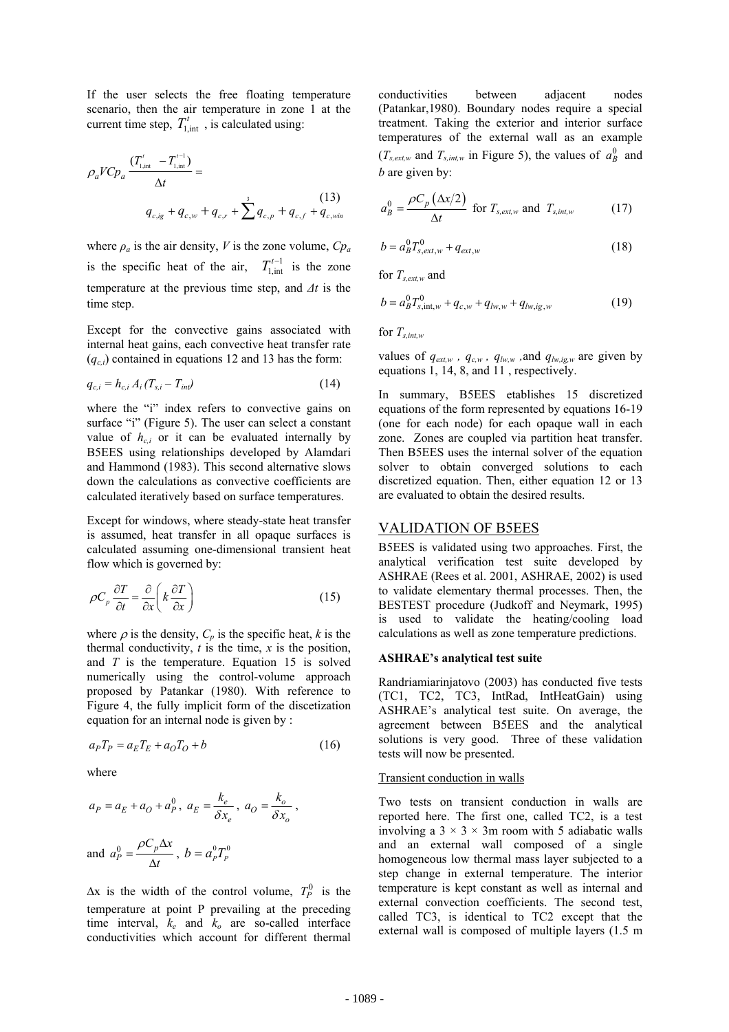If the user selects the free floating temperature scenario, then the air temperature in zone 1 at the current time step,  $T_{1, \text{int}}^t$ , is calculated using:

$$
\rho_a V C p_a \frac{(T'_{1,\text{int}} - T'^{-1}_{1,\text{int}})}{\Delta t} =
$$
\n
$$
q_{c,ig} + q_{c,w} + q_{c,r} + \sum_{r=0}^{3} q_{c,p} + q_{c,f} + q_{c,\text{win}} \tag{13}
$$

where  $\rho_a$  is the air density, *V* is the zone volume,  $C p_a$ is the specific heat of the air,  $T_{1, \text{int}}^{t-1}$  is the zone temperature at the previous time step, and *∆t* is the time step.

Except for the convective gains associated with internal heat gains, each convective heat transfer rate  $(q_{c,i})$  contained in equations 12 and 13 has the form:

$$
q_{c,i} = h_{c,i} A_i (T_{s,i} - T_{int})
$$
 (14)

where the "i" index refers to convective gains on surface "i" (Figure 5). The user can select a constant value of  $h_{ci}$  or it can be evaluated internally by B5EES using relationships developed by Alamdari and Hammond (1983). This second alternative slows down the calculations as convective coefficients are calculated iteratively based on surface temperatures.

Except for windows, where steady-state heat transfer is assumed, heat transfer in all opaque surfaces is calculated assuming one-dimensional transient heat flow which is governed by:

$$
\rho C_p \frac{\partial T}{\partial t} = \frac{\partial}{\partial x} \left( k \frac{\partial T}{\partial x} \right) \tag{15}
$$

where  $\rho$  is the density,  $C_p$  is the specific heat, *k* is the thermal conductivity,  $t$  is the time,  $x$  is the position, and *T* is the temperature. Equation 15 is solved numerically using the control-volume approach proposed by Patankar (1980). With reference to Figure 4, the fully implicit form of the discetization equation for an internal node is given by :

$$
a_P T_P = a_E T_E + a_O T_O + b \tag{16}
$$

where

$$
a_P = a_E + a_O + a_P^0, \ a_E = \frac{k_e}{\delta x_e}, \ a_O = \frac{k_o}{\delta x_o},
$$
  
and 
$$
a_P^0 = \frac{\rho C_p \Delta x}{\Delta t}, \ b = a_P^0 T_P^0
$$

 $\Delta x$  is the width of the control volume,  $T_p^0$  is the temperature at point P prevailing at the preceding time interval, *ke* and *ko* are so-called interface conductivities which account for different thermal

conductivities between adjacent nodes (Patankar,1980). Boundary nodes require a special treatment. Taking the exterior and interior surface temperatures of the external wall as an example  $(T_{s,ext,w}$  and  $T_{s,int,w}$  in Figure 5), the values of  $a_B^0$  and *b* are given by:

$$
a_B^0 = \frac{\rho C_p \left(\Delta x/2\right)}{\Delta t} \text{ for } T_{s,ext,w} \text{ and } T_{s,int,w} \tag{17}
$$

$$
b = a_B^0 T_{s,ext,w}^0 + q_{ext,w}
$$
 (18)

for *Ts,ext,w* and

$$
b = a_B^0 T_{s, \text{int}, w}^0 + q_{c, w} + q_{lw, w} + q_{lw, ig, w} \tag{19}
$$

for  $T_{s,int}$ 

values of  $q_{ext,w}$ ,  $q_{c,w}$ ,  $q_{lw,w}$ , and  $q_{lw,ig,w}$  are given by equations 1, 14, 8, and 11 , respectively.

In summary, B5EES etablishes 15 discretized equations of the form represented by equations 16-19 (one for each node) for each opaque wall in each zone. Zones are coupled via partition heat transfer. Then B5EES uses the internal solver of the equation solver to obtain converged solutions to each discretized equation. Then, either equation 12 or 13 are evaluated to obtain the desired results.

## VALIDATION OF B5EES

B5EES is validated using two approaches. First, the analytical verification test suite developed by ASHRAE (Rees et al. 2001, ASHRAE, 2002) is used to validate elementary thermal processes. Then, the BESTEST procedure (Judkoff and Neymark, 1995) is used to validate the heating/cooling load calculations as well as zone temperature predictions.

### **ASHRAE's analytical test suite**

Randriamiarinjatovo (2003) has conducted five tests (TC1, TC2, TC3, IntRad, IntHeatGain) using ASHRAE's analytical test suite. On average, the agreement between B5EES and the analytical solutions is very good. Three of these validation tests will now be presented.

### Transient conduction in walls

Two tests on transient conduction in walls are reported here. The first one, called TC2, is a test involving a  $3 \times 3 \times 3$ m room with 5 adiabatic walls and an external wall composed of a single homogeneous low thermal mass layer subjected to a step change in external temperature. The interior temperature is kept constant as well as internal and external convection coefficients. The second test, called TC3, is identical to TC2 except that the external wall is composed of multiple layers (1.5 m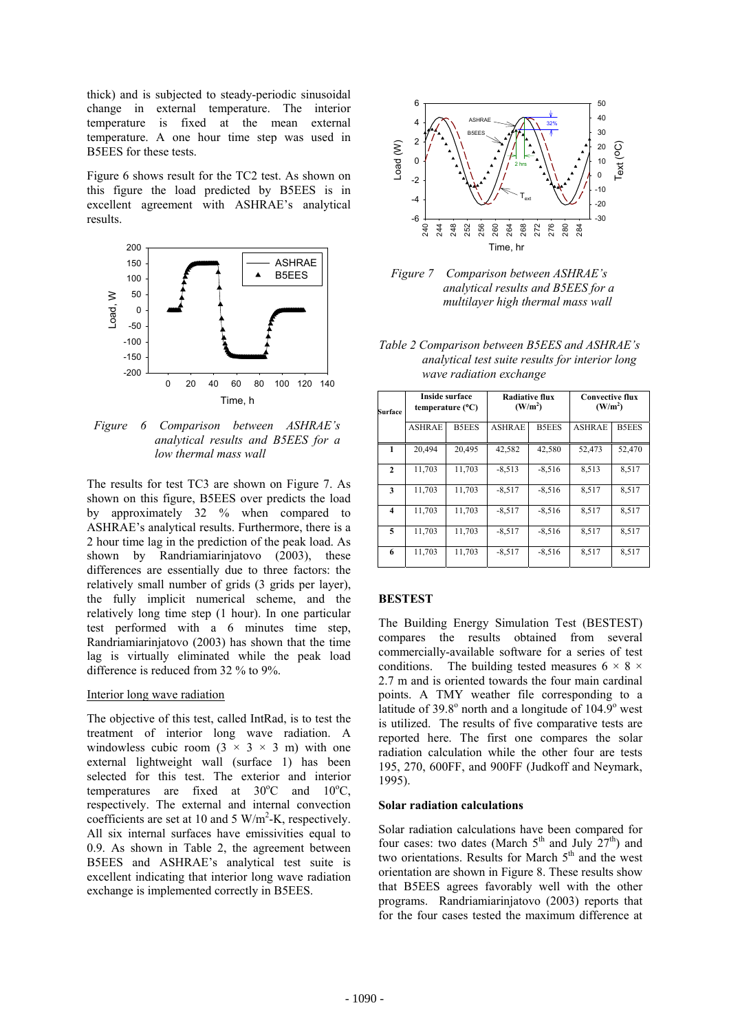thick) and is subjected to steady-periodic sinusoidal change in external temperature. The interior temperature is fixed at the mean external temperature. A one hour time step was used in B5EES for these tests.

Figure 6 shows result for the TC2 test. As shown on this figure the load predicted by B5EES is in excellent agreement with ASHRAE's analytical results.



*Figure 6 Comparison between ASHRAE's analytical results and B5EES for a low thermal mass wall*

The results for test TC3 are shown on Figure 7. As shown on this figure, B5EES over predicts the load by approximately 32 % when compared to ASHRAE's analytical results. Furthermore, there is a 2 hour time lag in the prediction of the peak load. As shown by Randriamiarinjatovo (2003), these differences are essentially due to three factors: the relatively small number of grids (3 grids per layer), the fully implicit numerical scheme, and the relatively long time step (1 hour). In one particular test performed with a 6 minutes time step, Randriamiarinjatovo (2003) has shown that the time lag is virtually eliminated while the peak load difference is reduced from 32 % to 9%.

### Interior long wave radiation

The objective of this test, called IntRad, is to test the treatment of interior long wave radiation. A windowless cubic room  $(3 \times 3 \times 3 \text{ m})$  with one external lightweight wall (surface 1) has been selected for this test. The exterior and interior temperatures are fixed at  $30^{\circ}$ C and  $10^{\circ}$ C, respectively. The external and internal convection coefficients are set at 10 and 5 W/m<sup>2</sup>-K, respectively. All six internal surfaces have emissivities equal to 0.9. As shown in Table 2, the agreement between B5EES and ASHRAE's analytical test suite is excellent indicating that interior long wave radiation exchange is implemented correctly in B5EES.



*Figure 7 Comparison between ASHRAE's analytical results and B5EES for a multilayer high thermal mass wall*

*Table 2 Comparison between B5EES and ASHRAE's analytical test suite results for interior long wave radiation exchange* 

| Surface      | <b>Inside surface</b><br>temperature $(^{\circ}C)$ |              | <b>Radiative flux</b><br>(W/m <sup>2</sup> ) |              | <b>Convective flux</b><br>(W/m <sup>2</sup> ) |              |
|--------------|----------------------------------------------------|--------------|----------------------------------------------|--------------|-----------------------------------------------|--------------|
|              | <b>ASHRAE</b>                                      | <b>B5EES</b> | <b>ASHRAE</b>                                | <b>B5EES</b> | <b>ASHRAE</b>                                 | <b>B5EES</b> |
| 1            | 20,494                                             | 20,495       | 42,582                                       | 42,580       | 52,473                                        | 52,470       |
| $\mathbf{2}$ | 11,703                                             | 11,703       | $-8,513$                                     | $-8,516$     | 8,513                                         | 8,517        |
| 3            | 11,703                                             | 11,703       | $-8,517$                                     | $-8,516$     | 8,517                                         | 8,517        |
| 4            | 11,703                                             | 11,703       | $-8,517$                                     | $-8,516$     | 8,517                                         | 8,517        |
| 5            | 11,703                                             | 11,703       | $-8,517$                                     | $-8,516$     | 8,517                                         | 8,517        |
| 6            | 11,703                                             | 11,703       | $-8,517$                                     | $-8,516$     | 8,517                                         | 8,517        |

### **BESTEST**

The Building Energy Simulation Test (BESTEST) compares the results obtained from several commercially-available software for a series of test conditions. The building tested measures  $6 \times 8 \times$ 2.7 m and is oriented towards the four main cardinal points. A TMY weather file corresponding to a latitude of  $39.8^\circ$  north and a longitude of  $104.9^\circ$  west is utilized. The results of five comparative tests are reported here. The first one compares the solar radiation calculation while the other four are tests 195, 270, 600FF, and 900FF (Judkoff and Neymark, 1995).

## **Solar radiation calculations**

Solar radiation calculations have been compared for four cases: two dates (March  $5<sup>th</sup>$  and July  $27<sup>th</sup>$ ) and two orientations. Results for March  $5<sup>th</sup>$  and the west orientation are shown in Figure 8. These results show that B5EES agrees favorably well with the other programs. Randriamiarinjatovo (2003) reports that for the four cases tested the maximum difference at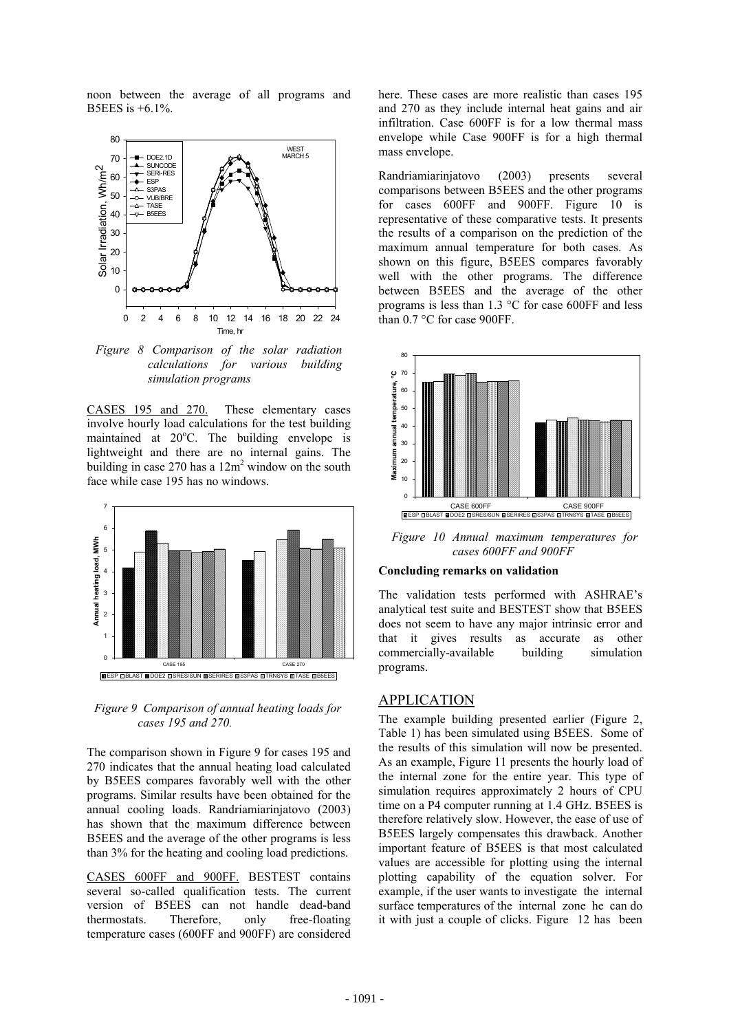noon between the average of all programs and B5EES is +6.1%.



*Figure 8 Comparison of the solar radiation calculations for various building simulation programs* 

CASES 195 and 270. These elementary cases involve hourly load calculations for the test building maintained at 20°C. The building envelope is lightweight and there are no internal gains. The building in case  $270$  has a  $12m^2$  window on the south face while case 195 has no windows.



*Figure 9 Comparison of annual heating loads for cases 195 and 270.* 

The comparison shown in Figure 9 for cases 195 and 270 indicates that the annual heating load calculated by B5EES compares favorably well with the other programs. Similar results have been obtained for the annual cooling loads. Randriamiarinjatovo (2003) has shown that the maximum difference between B5EES and the average of the other programs is less than 3% for the heating and cooling load predictions.

CASES 600FF and 900FF. BESTEST contains several so-called qualification tests. The current version of B5EES can not handle dead-band thermostats. Therefore, only free-floating temperature cases (600FF and 900FF) are considered

here. These cases are more realistic than cases 195 and 270 as they include internal heat gains and air infiltration. Case 600FF is for a low thermal mass envelope while Case 900FF is for a high thermal mass envelope.

Randriamiarinjatovo (2003) presents several comparisons between B5EES and the other programs for cases 600FF and 900FF. Figure 10 is representative of these comparative tests. It presents the results of a comparison on the prediction of the maximum annual temperature for both cases. As shown on this figure, B5EES compares favorably well with the other programs. The difference between B5EES and the average of the other programs is less than 1.3 °C for case 600FF and less than 0.7 °C for case 900FF.



*Figure 10 Annual maximum temperatures for cases 600FF and 900FF* 

## **Concluding remarks on validation**

The validation tests performed with ASHRAE's analytical test suite and BESTEST show that B5EES does not seem to have any major intrinsic error and that it gives results as accurate as other commercially-available building simulation programs.

# APPLICATION

The example building presented earlier (Figure 2, Table 1) has been simulated using B5EES. Some of the results of this simulation will now be presented. As an example, Figure 11 presents the hourly load of the internal zone for the entire year. This type of simulation requires approximately 2 hours of CPU time on a P4 computer running at 1.4 GHz. B5EES is therefore relatively slow. However, the ease of use of B5EES largely compensates this drawback. Another important feature of B5EES is that most calculated values are accessible for plotting using the internal plotting capability of the equation solver. For example, if the user wants to investigate the internal surface temperatures of the internal zone he can do it with just a couple of clicks. Figure 12 has been